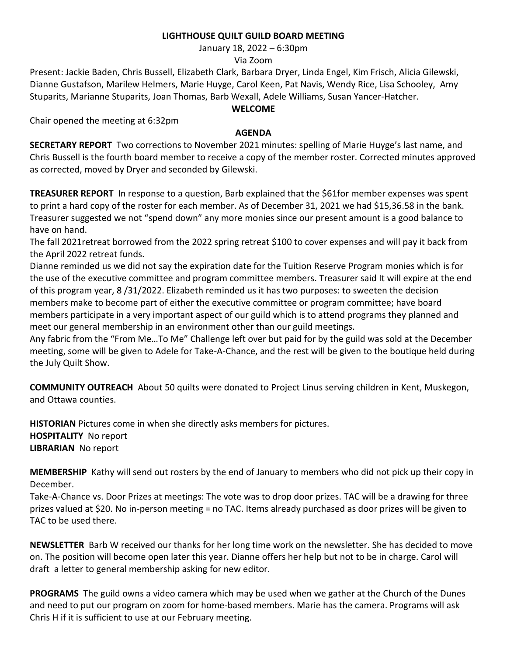## **LIGHTHOUSE QUILT GUILD BOARD MEETING**

January 18, 2022 – 6:30pm

Via Zoom

Present: Jackie Baden, Chris Bussell, Elizabeth Clark, Barbara Dryer, Linda Engel, Kim Frisch, Alicia Gilewski, Dianne Gustafson, Marilew Helmers, Marie Huyge, Carol Keen, Pat Navis, Wendy Rice, Lisa Schooley, Amy Stuparits, Marianne Stuparits, Joan Thomas, Barb Wexall, Adele Williams, Susan Yancer-Hatcher.

## **WELCOME**

Chair opened the meeting at 6:32pm

## **AGENDA**

**SECRETARY REPORT** Two corrections to November 2021 minutes: spelling of Marie Huyge's last name, and Chris Bussell is the fourth board member to receive a copy of the member roster. Corrected minutes approved as corrected, moved by Dryer and seconded by Gilewski.

**TREASURER REPORT** In response to a question, Barb explained that the \$61for member expenses was spent to print a hard copy of the roster for each member. As of December 31, 2021 we had \$15,36.58 in the bank. Treasurer suggested we not "spend down" any more monies since our present amount is a good balance to have on hand.

The fall 2021retreat borrowed from the 2022 spring retreat \$100 to cover expenses and will pay it back from the April 2022 retreat funds.

Dianne reminded us we did not say the expiration date for the Tuition Reserve Program monies which is for the use of the executive committee and program committee members. Treasurer said It will expire at the end of this program year, 8 /31/2022. Elizabeth reminded us it has two purposes: to sweeten the decision members make to become part of either the executive committee or program committee; have board members participate in a very important aspect of our guild which is to attend programs they planned and meet our general membership in an environment other than our guild meetings.

Any fabric from the "From Me…To Me" Challenge left over but paid for by the guild was sold at the December meeting, some will be given to Adele for Take-A-Chance, and the rest will be given to the boutique held during the July Quilt Show.

**COMMUNITY OUTREACH** About 50 quilts were donated to Project Linus serving children in Kent, Muskegon, and Ottawa counties.

**HISTORIAN** Pictures come in when she directly asks members for pictures. **HOSPITALITY** No report **LIBRARIAN** No report

**MEMBERSHIP** Kathy will send out rosters by the end of January to members who did not pick up their copy in December.

Take-A-Chance vs. Door Prizes at meetings: The vote was to drop door prizes. TAC will be a drawing for three prizes valued at \$20. No in-person meeting = no TAC. Items already purchased as door prizes will be given to TAC to be used there.

**NEWSLETTER** Barb W received our thanks for her long time work on the newsletter. She has decided to move on. The position will become open later this year. Dianne offers her help but not to be in charge. Carol will draft a letter to general membership asking for new editor.

**PROGRAMS** The guild owns a video camera which may be used when we gather at the Church of the Dunes and need to put our program on zoom for home-based members. Marie has the camera. Programs will ask Chris H if it is sufficient to use at our February meeting.